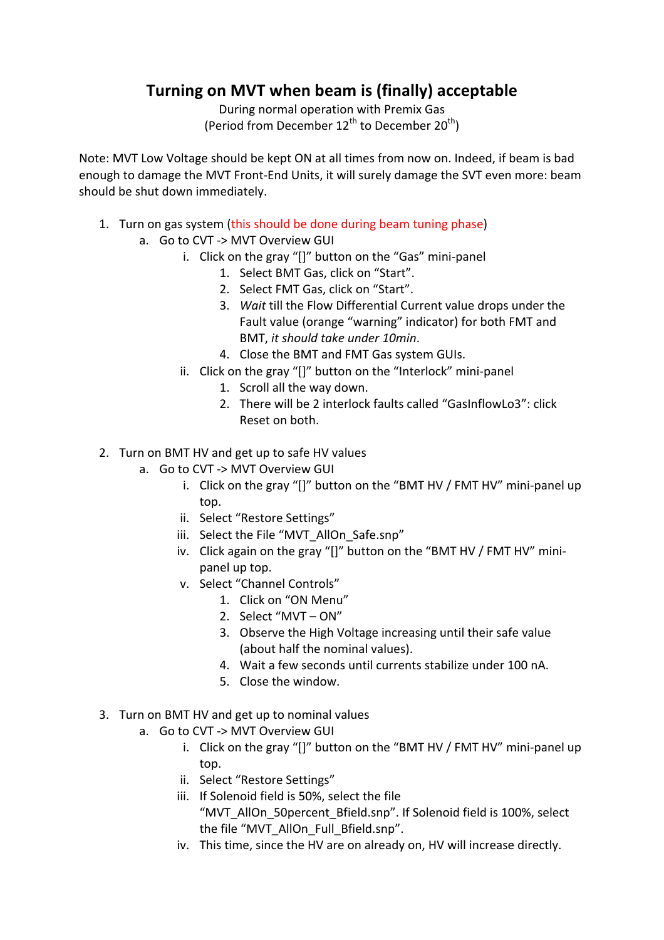## **Turning on MVT when beam is (finally) acceptable**

During normal operation with Premix Gas (Period from December  $12^{th}$  to December  $20^{th}$ )

Note: MVT Low Voltage should be kept ON at all times from now on. Indeed, if beam is bad enough to damage the MVT Front-End Units, it will surely damage the SVT even more: beam should be shut down immediately.

- 1. Turn on gas system (this should be done during beam tuning phase)
	- a. Go to CVT -> MVT Overview GUI
		- i. Click on the gray "[]" button on the "Gas" mini-panel
			- 1. Select BMT Gas, click on "Start".
			- 2. Select FMT Gas, click on "Start".
			- 3. Wait till the Flow Differential Current value drops under the Fault value (orange "warning" indicator) for both FMT and BMT, *it should take under 10min*.
			- 4. Close the BMT and FMT Gas system GUIs.
		- ii. Click on the gray "[]" button on the "Interlock" mini-panel
			- 1. Scroll all the way down.
				- 2. There will be 2 interlock faults called "GasInflowLo3": click Reset on both.
- 2. Turn on BMT HV and get up to safe HV values
	- a. Go to CVT -> MVT Overview GUI
		- i. Click on the gray "[]" button on the "BMT HV / FMT HV" mini-panel up top.
		- ii. Select "Restore Settings"
		- iii. Select the File "MVT AllOn Safe.snp"
		- iv. Click again on the gray "[]" button on the "BMT HV / FMT HV" minipanel up top.
		- v. Select "Channel Controls"
			- 1. Click on "ON Menu"
			- 2. Select "MVT ON"
			- 3. Observe the High Voltage increasing until their safe value (about half the nominal values).
			- 4. Wait a few seconds until currents stabilize under 100 nA.
			- 5. Close the window.
- 3. Turn on BMT HV and get up to nominal values
	- a. Go to CVT -> MVT Overview GUI
		- i. Click on the gray "[]" button on the "BMT HV / FMT HV" mini-panel up top.
		- ii. Select "Restore Settings"
		- iii. If Solenoid field is 50%, select the file "MVT\_AllOn\_50percent\_Bfield.snp". If Solenoid field is 100%, select the file "MVT\_AllOn\_Full\_Bfield.snp".
		- iv. This time, since the HV are on already on, HV will increase directly.